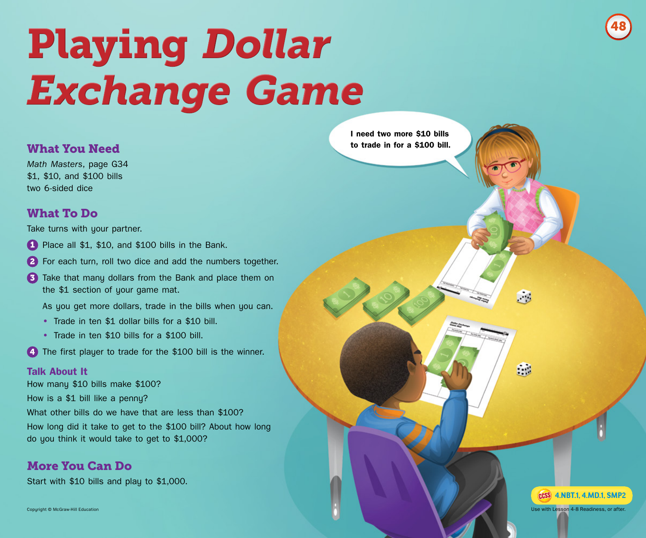

# Playing *Dollar Exchange Game*

#### What You Need

*Math Masters*, page G34 \$1, \$10, and \$100 bills two 6-sided dice

## What To Do

Take turns with your partner.

- 1 Place all \$1, \$10, and \$100 bills in the Bank.
- 2 For each turn, roll two dice and add the numbers together.
- 3 Take that many dollars from the Bank and place them on the \$1 section of your game mat.

As you get more dollars, trade in the bills when you can.

- **•** Trade in ten \$1 dollar bills for a \$10 bill.
- **•** Trade in ten \$10 bills for a \$100 bill.

4 The first player to trade for the \$100 bill is the winner.

#### **Talk About It**

How many \$10 bills make \$100? How is a \$1 bill like a penny? What other bills do we have that are less than \$100? How long did it take to get to the \$100 bill? About how long do you think it would take to get to \$1,000?

### More You Can Do

Start with \$10 bills and play to \$1,000.

Copyright © McGraw-Hill Education

**I need two more \$10 bills to trade in for a \$100 bill.**



 $\Box$